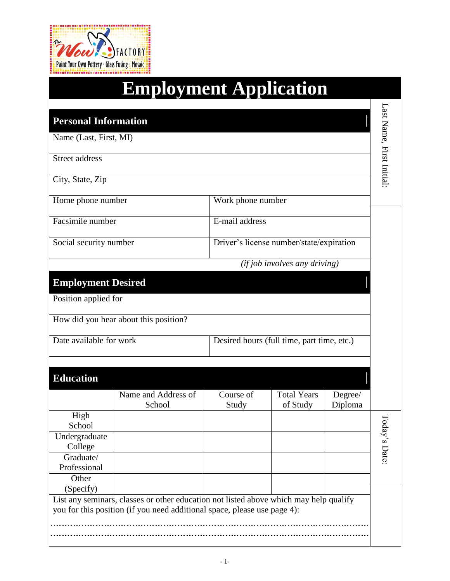

|                             | <b>Employment Application</b>                                                                                                                                     |                                            |                                          |                    |                           |
|-----------------------------|-------------------------------------------------------------------------------------------------------------------------------------------------------------------|--------------------------------------------|------------------------------------------|--------------------|---------------------------|
| <b>Personal Information</b> |                                                                                                                                                                   |                                            |                                          |                    | Last Name, First Initial: |
| Name (Last, First, MI)      |                                                                                                                                                                   |                                            |                                          |                    |                           |
| <b>Street address</b>       |                                                                                                                                                                   |                                            |                                          |                    |                           |
| City, State, Zip            |                                                                                                                                                                   |                                            |                                          |                    |                           |
| Home phone number           |                                                                                                                                                                   | Work phone number                          |                                          |                    |                           |
|                             | Facsimile number                                                                                                                                                  |                                            | E-mail address                           |                    |                           |
|                             | Social security number                                                                                                                                            |                                            | Driver's license number/state/expiration |                    |                           |
|                             |                                                                                                                                                                   |                                            | $(ifjob$ involves any driving)           |                    |                           |
| <b>Employment Desired</b>   |                                                                                                                                                                   |                                            |                                          |                    |                           |
| Position applied for        |                                                                                                                                                                   |                                            |                                          |                    |                           |
|                             | How did you hear about this position?                                                                                                                             |                                            |                                          |                    |                           |
| Date available for work     |                                                                                                                                                                   | Desired hours (full time, part time, etc.) |                                          |                    |                           |
| <b>Education</b>            |                                                                                                                                                                   |                                            |                                          |                    |                           |
|                             | Name and Address of<br>School                                                                                                                                     | Course of<br>Study                         | <b>Total Years</b><br>of Study           | Degree/<br>Diploma |                           |
| High<br>School              |                                                                                                                                                                   |                                            |                                          |                    |                           |
| Undergraduate<br>College    |                                                                                                                                                                   |                                            |                                          |                    | Loday's Date:             |
| Graduate/<br>Professional   |                                                                                                                                                                   |                                            |                                          |                    |                           |
| Other<br>(Specify)          |                                                                                                                                                                   |                                            |                                          |                    |                           |
|                             | List any seminars, classes or other education not listed above which may help qualify<br>you for this position (if you need additional space, please use page 4): |                                            |                                          |                    |                           |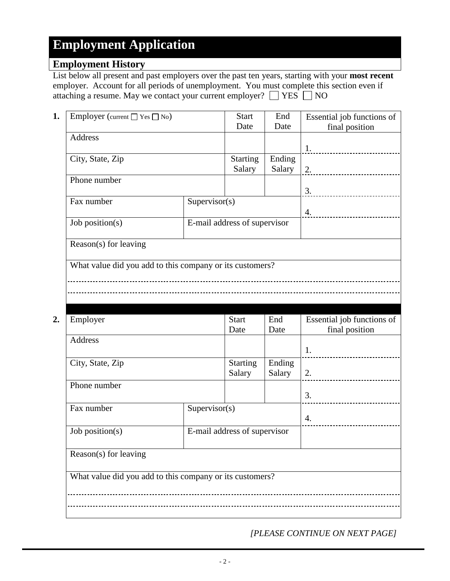### **Employment History**

List below all present and past employers over the past ten years, starting with your **most recent** employer. Account for all periods of unemployment. You must complete this section even if attaching a resume. May we contact your current employer?  $\Box$  YES  $\Box$  NO

| 1. | Employer (current $\Box$ Yes $\Box$ No)                  |               | <b>Start</b><br>Date         | End<br>Date                 | Essential job functions of<br>final position |  |  |
|----|----------------------------------------------------------|---------------|------------------------------|-----------------------------|----------------------------------------------|--|--|
|    | Address                                                  |               |                              |                             |                                              |  |  |
|    |                                                          |               |                              |                             | 1.                                           |  |  |
|    | City, State, Zip                                         |               | <b>Starting</b><br>Salary    | Ending<br>Salary            |                                              |  |  |
|    | Phone number                                             |               |                              |                             |                                              |  |  |
|    | Fax number                                               | Supervisor(s) |                              |                             | 3.                                           |  |  |
|    |                                                          |               |                              |                             | 4.<br>________________________               |  |  |
|    | Job position(s)                                          |               | E-mail address of supervisor |                             |                                              |  |  |
|    | Reason(s) for leaving                                    |               |                              |                             |                                              |  |  |
|    | What value did you add to this company or its customers? |               |                              |                             |                                              |  |  |
|    |                                                          |               |                              |                             |                                              |  |  |
|    |                                                          |               |                              |                             |                                              |  |  |
|    |                                                          |               |                              |                             |                                              |  |  |
| 2. | Employer                                                 |               | <b>Start</b><br>Date         | End<br>Date                 | Essential job functions of<br>final position |  |  |
|    |                                                          |               |                              |                             |                                              |  |  |
|    | Address                                                  |               |                              |                             |                                              |  |  |
|    | City, State, Zip                                         |               | <b>Starting</b>              | $\overline{\text{E}}$ nding | 1.                                           |  |  |
|    |                                                          |               | Salary                       | Salary                      | 2.                                           |  |  |
|    | Phone number                                             |               |                              |                             | 3.                                           |  |  |
|    | Fax number                                               | Supervisor(s) |                              |                             | ________________________                     |  |  |
|    | Job position(s)                                          |               | E-mail address of supervisor |                             | 4.                                           |  |  |
|    |                                                          |               |                              |                             |                                              |  |  |
|    | Reason(s) for leaving                                    |               |                              |                             |                                              |  |  |
|    | What value did you add to this company or its customers? |               |                              |                             |                                              |  |  |
|    |                                                          |               |                              |                             |                                              |  |  |

*[PLEASE CONTINUE ON NEXT PAGE]*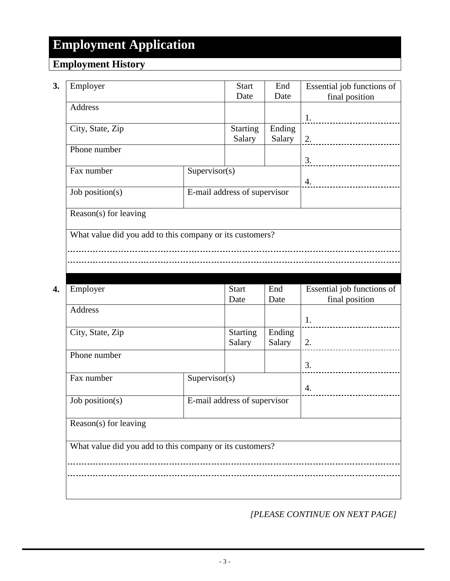### **Employment History**

| Date<br>Date<br><b>Address</b><br>1.<br>Ending<br><b>Starting</b><br>City, State, Zip<br>Salary<br>Salary<br>2.<br>----------------------------<br>Phone number<br>Fax number<br>Supervisor(s)<br>4.<br>E-mail address of supervisor<br>Job position(s)<br>Reason(s) for leaving<br>What value did you add to this company or its customers?<br>Essential job functions of<br>Employer<br><b>Start</b><br>End<br>final position<br>Date<br>Date<br><b>Address</b><br>1.<br><b>Starting</b><br>Ending<br>City, State, Zip<br>Salary<br>Salary<br>2.<br>Phone number<br>3.<br>Fax number<br>Supervisor(s)<br>4.<br>E-mail address of supervisor<br>Job position( $s$ )<br>Reason(s) for leaving<br>What value did you add to this company or its customers? | Essential job functions of |
|-----------------------------------------------------------------------------------------------------------------------------------------------------------------------------------------------------------------------------------------------------------------------------------------------------------------------------------------------------------------------------------------------------------------------------------------------------------------------------------------------------------------------------------------------------------------------------------------------------------------------------------------------------------------------------------------------------------------------------------------------------------|----------------------------|
|                                                                                                                                                                                                                                                                                                                                                                                                                                                                                                                                                                                                                                                                                                                                                           | final position             |
|                                                                                                                                                                                                                                                                                                                                                                                                                                                                                                                                                                                                                                                                                                                                                           |                            |
|                                                                                                                                                                                                                                                                                                                                                                                                                                                                                                                                                                                                                                                                                                                                                           |                            |
|                                                                                                                                                                                                                                                                                                                                                                                                                                                                                                                                                                                                                                                                                                                                                           |                            |
|                                                                                                                                                                                                                                                                                                                                                                                                                                                                                                                                                                                                                                                                                                                                                           |                            |
|                                                                                                                                                                                                                                                                                                                                                                                                                                                                                                                                                                                                                                                                                                                                                           |                            |
|                                                                                                                                                                                                                                                                                                                                                                                                                                                                                                                                                                                                                                                                                                                                                           |                            |
|                                                                                                                                                                                                                                                                                                                                                                                                                                                                                                                                                                                                                                                                                                                                                           |                            |
|                                                                                                                                                                                                                                                                                                                                                                                                                                                                                                                                                                                                                                                                                                                                                           |                            |
|                                                                                                                                                                                                                                                                                                                                                                                                                                                                                                                                                                                                                                                                                                                                                           |                            |
|                                                                                                                                                                                                                                                                                                                                                                                                                                                                                                                                                                                                                                                                                                                                                           |                            |
|                                                                                                                                                                                                                                                                                                                                                                                                                                                                                                                                                                                                                                                                                                                                                           |                            |
|                                                                                                                                                                                                                                                                                                                                                                                                                                                                                                                                                                                                                                                                                                                                                           |                            |
|                                                                                                                                                                                                                                                                                                                                                                                                                                                                                                                                                                                                                                                                                                                                                           |                            |
|                                                                                                                                                                                                                                                                                                                                                                                                                                                                                                                                                                                                                                                                                                                                                           |                            |
|                                                                                                                                                                                                                                                                                                                                                                                                                                                                                                                                                                                                                                                                                                                                                           |                            |
|                                                                                                                                                                                                                                                                                                                                                                                                                                                                                                                                                                                                                                                                                                                                                           |                            |
|                                                                                                                                                                                                                                                                                                                                                                                                                                                                                                                                                                                                                                                                                                                                                           |                            |
|                                                                                                                                                                                                                                                                                                                                                                                                                                                                                                                                                                                                                                                                                                                                                           |                            |
|                                                                                                                                                                                                                                                                                                                                                                                                                                                                                                                                                                                                                                                                                                                                                           |                            |
|                                                                                                                                                                                                                                                                                                                                                                                                                                                                                                                                                                                                                                                                                                                                                           |                            |
|                                                                                                                                                                                                                                                                                                                                                                                                                                                                                                                                                                                                                                                                                                                                                           |                            |
|                                                                                                                                                                                                                                                                                                                                                                                                                                                                                                                                                                                                                                                                                                                                                           |                            |
|                                                                                                                                                                                                                                                                                                                                                                                                                                                                                                                                                                                                                                                                                                                                                           |                            |
|                                                                                                                                                                                                                                                                                                                                                                                                                                                                                                                                                                                                                                                                                                                                                           | -------------------------  |
|                                                                                                                                                                                                                                                                                                                                                                                                                                                                                                                                                                                                                                                                                                                                                           |                            |
|                                                                                                                                                                                                                                                                                                                                                                                                                                                                                                                                                                                                                                                                                                                                                           |                            |
|                                                                                                                                                                                                                                                                                                                                                                                                                                                                                                                                                                                                                                                                                                                                                           |                            |
|                                                                                                                                                                                                                                                                                                                                                                                                                                                                                                                                                                                                                                                                                                                                                           |                            |
|                                                                                                                                                                                                                                                                                                                                                                                                                                                                                                                                                                                                                                                                                                                                                           |                            |
|                                                                                                                                                                                                                                                                                                                                                                                                                                                                                                                                                                                                                                                                                                                                                           |                            |
|                                                                                                                                                                                                                                                                                                                                                                                                                                                                                                                                                                                                                                                                                                                                                           |                            |
|                                                                                                                                                                                                                                                                                                                                                                                                                                                                                                                                                                                                                                                                                                                                                           |                            |
|                                                                                                                                                                                                                                                                                                                                                                                                                                                                                                                                                                                                                                                                                                                                                           |                            |
|                                                                                                                                                                                                                                                                                                                                                                                                                                                                                                                                                                                                                                                                                                                                                           |                            |

*[PLEASE CONTINUE ON NEXT PAGE]*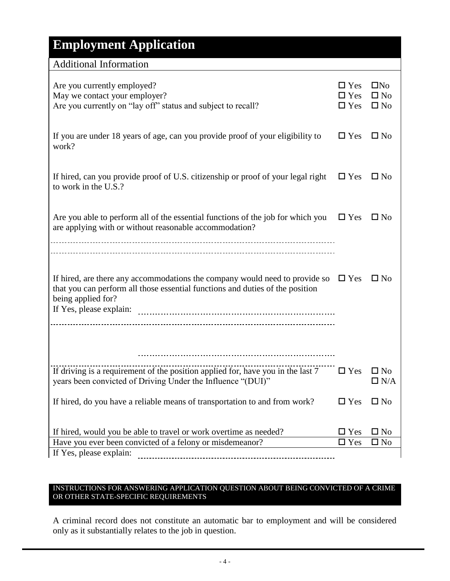| <b>Additional Information</b>                                                                                                                                                                                 |                                        |                                              |
|---------------------------------------------------------------------------------------------------------------------------------------------------------------------------------------------------------------|----------------------------------------|----------------------------------------------|
| Are you currently employed?<br>May we contact your employer?<br>Are you currently on "lay off" status and subject to recall?                                                                                  | $\Box$ Yes<br>$\Box$ Yes<br>$\Box$ Yes | $\square$ No<br>$\square$ No<br>$\square$ No |
| If you are under 18 years of age, can you provide proof of your eligibility to<br>work?                                                                                                                       | $\Box$ Yes                             | $\square$ No                                 |
| If hired, can you provide proof of U.S. citizenship or proof of your legal right<br>to work in the U.S.?                                                                                                      | $\Box$ Yes                             | $\square$ No                                 |
| Are you able to perform all of the essential functions of the job for which you<br>are applying with or without reasonable accommodation?                                                                     | $\Box$ Yes                             | $\square$ No                                 |
| If hired, are there any accommodations the company would need to provide so<br>that you can perform all those essential functions and duties of the position<br>being applied for?<br>If Yes, please explain: | $\Box$ Yes                             | $\square$ No                                 |
|                                                                                                                                                                                                               |                                        |                                              |
| If driving is a requirement of the position applied for, have you in the last 7<br>years been convicted of Driving Under the Influence "(DUI)"                                                                | $\Box$ Yes                             | $\square$ No<br>$\Box$ N/A                   |
| If hired, do you have a reliable means of transportation to and from work?                                                                                                                                    | $\Box$ Yes                             | $\square$ No                                 |
| If hired, would you be able to travel or work overtime as needed?<br>Have you ever been convicted of a felony or misdemeanor?                                                                                 | $\square$ Yes<br>$\square$ Yes         | $\square$ No<br>$\square$ No                 |
| If Yes, please explain:                                                                                                                                                                                       |                                        |                                              |
|                                                                                                                                                                                                               |                                        |                                              |

#### INSTRUCTIONS FOR ANSWERING APPLICATION QUESTION ABOUT BEING CONVICTED OF A CRIME OR OTHER STATE-SPECIFIC REQUIREMENTS

A criminal record does not constitute an automatic bar to employment and will be considered only as it substantially relates to the job in question.